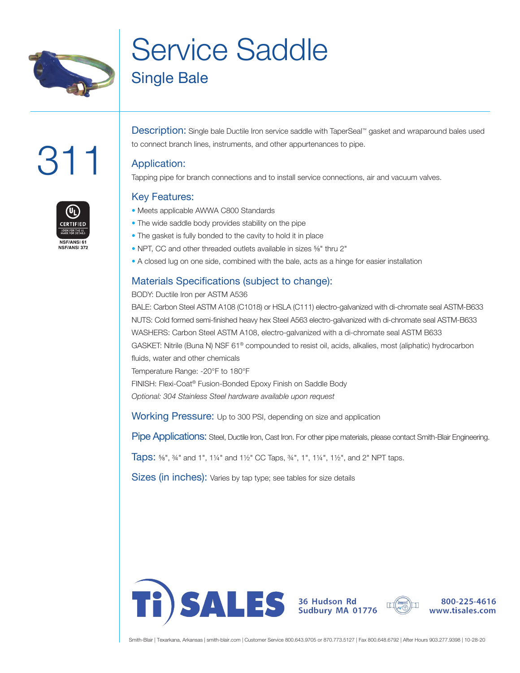

# Service Saddle Single Bale

# :31

Description: Single bale Ductile Iron service saddle with TaperSeal™ gasket and wraparound bales used to connect branch lines, instruments, and other appurtenances to pipe.

### Application:

Tapping pipe for branch connections and to install service connections, air and vacuum valves.

## Key Features:

- Meets applicable AWWA C800 Standards
- The wide saddle body provides stability on the pipe
- The gasket is fully bonded to the cavity to hold it in place
- NPT, CC and other threaded outlets available in sizes ⅝" thru 2"
- A closed lug on one side, combined with the bale, acts as a hinge for easier installation

### Materials Specifications (subject to change):

#### BODY: Ductile Iron per ASTM A536

BALE: Carbon Steel ASTM A108 (C1018) or HSLA (C111) electro-galvanized with di-chromate seal ASTM-B633 NUTS: Cold formed semi-finished heavy hex Steel A563 electro-galvanized with di-chromate seal ASTM-B633 WASHERS: Carbon Steel ASTM A108, electro-galvanized with a di-chromate seal ASTM B633 GASKET: Nitrile (Buna N) NSF 61® compounded to resist oil, acids, alkalies, most (aliphatic) hydrocarbon fluids, water and other chemicals Temperature Range: -20°F to 180°F FINISH: Flexi-Coat® Fusion-Bonded Epoxy Finish on Saddle Body *Optional: 304 Stainless Steel hardware available upon request*

Working Pressure: Up to 300 PSI, depending on size and application

Pipe Applications: Steel, Ductile Iron, Cast Iron. For other pipe materials, please contact Smith-Blair Engineering.

Taps: ⅝", ¾" and 1", 1¼" and 1½" CC Taps, ¾", 1", 1¼", 1½", and 2" NPT taps.

Sizes (in inches): Varies by tap type; see tables for size details





800-225-4616 www.tisales.com

Smith-Blair | Texarkana, Arkansas | smith-blair.com | Customer Service 800.643.9705 or 870.773.5127 | Fax 800.648.6792 | After Hours 903.277.9398 | 10-28-20

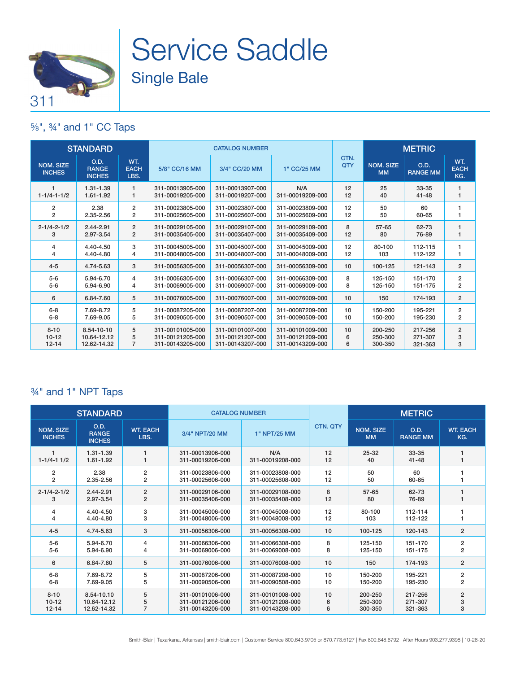

# Service Saddle Single Bale

### ⅝", ¾" and 1" CC Taps

| <b>STANDARD</b>                   |                                       |                            | <b>CATALOG NUMBER</b>                |                                      |                         |             | <b>METRIC</b>                 |                         |                           |
|-----------------------------------|---------------------------------------|----------------------------|--------------------------------------|--------------------------------------|-------------------------|-------------|-------------------------------|-------------------------|---------------------------|
| <b>NOM. SIZE</b><br><b>INCHES</b> | O.D.<br><b>RANGE</b><br><b>INCHES</b> | WT.<br><b>EACH</b><br>LBS. | 5/8" CC/16 MM                        | 3/4" CC/20 MM                        | 1" CC/25 MM             | CTN.<br>QTY | <b>NOM. SIZE</b><br><b>MM</b> | O.D.<br><b>RANGE MM</b> | WT.<br><b>EACH</b><br>KG. |
| $1 - 1/4 - 1 - 1/2$               | 1.31-1.39<br>1.61-1.92                | $\mathbf{1}$<br>1          | 311-00013905-000<br>311-00019205-000 | 311-00013907-000<br>311-00019207-000 | N/A<br>311-00019209-000 | 12<br>12    | 25<br>40                      | 33-35<br>$41 - 48$      | 1                         |
| $\overline{2}$                    | 2.38                                  | $\overline{2}$             | 311-00023805-000                     | 311-00023807-000                     | 311-00023809-000        | 12          | 50                            | 60                      | 1                         |
| $\overline{2}$                    | 2.35-2.56                             | 2                          | 311-00025605-000                     | 311-00025607-000                     | 311-00025609-000        | 12          | 50                            | 60-65                   |                           |
| $2 - 1/4 - 2 - 1/2$               | $2.44 - 2.91$                         | $\overline{2}$             | 311-00029105-000                     | 311-00029107-000                     | 311-00029109-000        | 8           | $57 - 65$                     | 62-73                   | 1                         |
| 3                                 | 2.97-3.54                             | $\overline{2}$             | 311-00035405-000                     | 311-00035407-000                     | 311-00035409-000        | 12          | 80                            | 76-89                   | 1                         |
| 4                                 | 4.40-4.50                             | 3                          | 311-00045005-000                     | 311-00045007-000                     | 311-00045009-000        | 12          | 80-100                        | 112-115                 | 1                         |
| 4                                 | 4.40-4.80                             | 4                          | 311-00048005-000                     | 311-00048007-000                     | 311-00048009-000        | 12          | 103                           | 112-122                 | 1                         |
| $4 - 5$                           | 4.74-5.63                             | 3                          | 311-00056305-000                     | 311-00056307-000                     | 311-00056309-000        | 10          | 100-125                       | 121-143                 | $\overline{2}$            |
| $5-6$                             | 5.94-6.70                             | 4                          | 311-00066305-000                     | 311-00066307-000                     | 311-00066309-000        | 8           | 125-150                       | 151-170                 | $\overline{\mathbf{c}}$   |
| $5 - 6$                           | 5.94-6.90                             | 4                          | 311-00069005-000                     | 311-00069007-000                     | 311-00069009-000        | 8           | 125-150                       | 151-175                 | 2                         |
| 6                                 | 6.84-7.60                             | 5                          | 311-00076005-000                     | 311-00076007-000                     | 311-00076009-000        | 10          | 150                           | 174-193                 | $\overline{2}$            |
| $6 - 8$                           | 7.69-8.72                             | 5                          | 311-00087205-000                     | 311-00087207-000                     | 311-00087209-000        | 10          | 150-200                       | 195-221                 | $\overline{2}$            |
| $6 - 8$                           | 7.69-9.05                             | 5                          | 311-00090505-000                     | 311-00090507-000                     | 311-00090509-000        | 10          | 150-200                       | 195-230                 | 2                         |
| $8 - 10$                          | 8.54-10-10                            | 5                          | 311-00101005-000                     | 311-00101007-000                     | 311-00101009-000        | 10          | 200-250                       | 217-256                 | $\overline{2}$            |
| $10 - 12$                         | 10.64-12.12                           | 5                          | 311-00121205-000                     | 311-00121207-000                     | 311-00121209-000        | 6           | 250-300                       | 271-307                 | 3                         |
| $12 - 14$                         | 12.62-14.32                           | $\overline{7}$             | 311-00143205-000                     | 311-00143207-000                     | 311-00143209-000        | 6           | 300-350                       | 321-363                 | 3                         |

### ¾" and 1" NPT Taps

|                            | <b>STANDARD</b>                       |                         | <b>CATALOG NUMBER</b>                |                         | <b>METRIC</b>   |                               |                         |                         |
|----------------------------|---------------------------------------|-------------------------|--------------------------------------|-------------------------|-----------------|-------------------------------|-------------------------|-------------------------|
| NOM. SIZE<br><b>INCHES</b> | O.D.<br><b>RANGE</b><br><b>INCHES</b> | <b>WT. EACH</b><br>LBS. | 3/4" NPT/20 MM                       | 1" NPT/25 MM            | <b>CTN, QTY</b> | <b>NOM. SIZE</b><br><b>MM</b> | O.D.<br><b>RANGE MM</b> | <b>WT. EACH</b><br>KG.  |
| $1 - 1/4 - 11/2$           | 1.31-1.39<br>1.61-1.92                | 1<br>1                  | 311-00013906-000<br>311-00019206-000 | N/A<br>311-00019208-000 | 12<br>12        | $25 - 32$<br>40               | 33-35<br>$41 - 48$      |                         |
| 2                          | 2.38                                  | $\overline{\mathbf{c}}$ | 311-00023806-000                     | 311-00023808-000        | 12              | 50                            | 60                      |                         |
| $\overline{2}$             | 2.35-2.56                             | $\overline{2}$          | 311-00025606-000                     | 311-00025608-000        | 12              | 50                            | 60-65                   |                         |
| $2 - 1/4 - 2 - 1/2$        | 2.44-2.91                             | $\overline{2}$          | 311-00029106-000                     | 311-00029108-000        | 8               | $57 - 65$                     | 62-73                   |                         |
| 3                          | 2.97-3.54                             | $\overline{2}$          | 311-00035406-000                     | 311-00035408-000        | 12              | 80                            | 76-89                   |                         |
| 4                          | 4.40-4.50                             | 3                       | 311-00045006-000                     | 311-00045008-000        | 12              | 80-100                        | 112-114                 |                         |
| 4                          | 4.40-4.80                             | 3                       | 311-00048006-000                     | 311-00048008-000        | 12              | 103                           | 112-122                 |                         |
| $4 - 5$                    | 4.74-5.63                             | 3                       | 311-00056306-000                     | 311-00056308-000        | 10              | 100-125                       | 120-143                 | $\overline{2}$          |
| $5-6$                      | 5.94-6.70                             | 4                       | 311-00066306-000                     | 311-00066308-000        | 8               | 125-150                       | 151-170                 | $\overline{\mathbf{c}}$ |
| $5-6$                      | 5.94-6.90                             | 4                       | 311-00069006-000                     | 311-00069008-000        | 8               | 125-150                       | 151-175                 | $\overline{2}$          |
| 6                          | 6.84-7.60                             | 5                       | 311-00076006-000                     | 311-00076008-000        | 10              | 150                           | 174-193                 | $\overline{2}$          |
| $6 - 8$                    | 7.69-8.72                             | 5                       | 311-00087206-000                     | 311-00087208-000        | 10              | 150-200                       | 195-221                 | $\overline{\mathbf{c}}$ |
| $6 - 8$                    | 7.69-9.05                             | 5                       | 311-00090506-000                     | 311-00090508-000        | 10              | 150-200                       | 195-230                 | $\overline{2}$          |
| $8 - 10$                   | 8.54-10.10                            | 5                       | 311-00101006-000                     | 311-00101008-000        | 10              | 200-250                       | 217-256                 | $\overline{2}$          |
| $10 - 12$                  | 10.64-12.12                           | 5                       | 311-00121206-000                     | 311-00121208-000        | 6               | 250-300                       | 271-307                 | 3                       |
| $12 - 14$                  | 12.62-14.32                           | $\overline{7}$          | 311-00143206-000                     | 311-00143208-000        | 6               | 300-350                       | 321-363                 | 3                       |